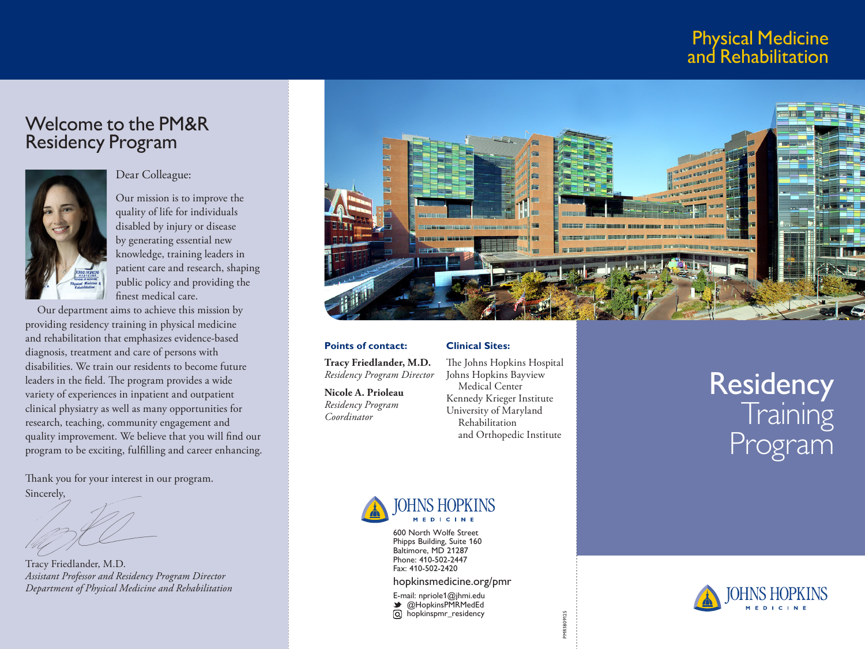# Physical Medicine and Rehabilitation

# Welcome to the PM&R Residency Program



#### Dear Colleague:

Our mission is to improve the quality of life for individuals disabled by injury or disease by generating essential new knowledge, training leaders in patient care and research, shaping public policy and providing the finest medical care.

Our department aims to achieve this mission by providing residency training in physical medicine and rehabilitation that emphasizes evidence-based diagnosis, treatment and care of persons with disabilities. We train our residents to become future leaders in the field. The program provides a wide variety of experiences in inpatient and outpatient clinical physiatry as well as many opportunities for research, teaching, community engagement and quality improvement. We believe that you will find our program to be exciting, fulfilling and career enhancing.

Thank you for your interest in our program. Sincerely,

Tracy Friedlander, M.D. *Assistant Professor and Residency Program Director Department of Physical Medicine and Rehabilitation*



**Points of contact: Tracy Friedlander, M.D.**

*Residency Program Director*

**Nicole A. Prioleau** *Residency Program Coordinator*

#### **Clinical Sites:**

The Johns Hopkins Hospital Johns Hopkins Bayview Medical Center Kennedy Krieger Institute University of Maryland Rehabilitation and Orthopedic Institute

PMR1809125

# Residency Training Program



600 North Wolfe Street Phipps Building, Suite 160 Baltimore, MD 21287 Phone: 410-502-2447 Fax: 410-502-2420

hopkinsmedicine.org/pmr

E-mail: npriole1@jhmi.edu **◆** @HopkinsPMRMedEd hopkinspmr\_residency